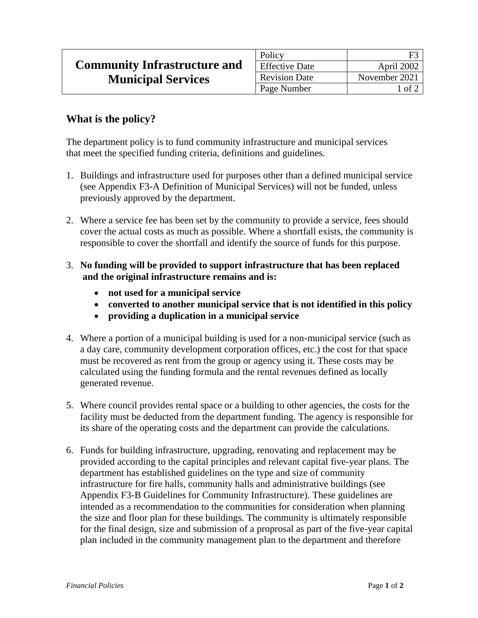|                                     | Policy                |                     |
|-------------------------------------|-----------------------|---------------------|
| <b>Community Infrastructure and</b> | <b>Effective Date</b> | April 2002          |
| <b>Municipal Services</b>           | <b>Revision Date</b>  | November 2021       |
|                                     | Page Number           | $\circ$ of $\angle$ |

## **What is the policy?**

The department policy is to fund community infrastructure and municipal services that meet the specified funding criteria, definitions and guidelines.

- 1. Buildings and infrastructure used for purposes other than a defined municipal service (see Appendix F3-A Definition of Municipal Services) will not be funded, unless previously approved by the department.
- 2. Where a service fee has been set by the community to provide a service, fees should cover the actual costs as much as possible. Where a shortfall exists, the community is responsible to cover the shortfall and identify the source of funds for this purpose.
- 3. **No funding will be provided to support infrastructure that has been replaced and the original infrastructure remains and is:**
	- **not used for a municipal service**
	- **converted to another municipal service that is not identified in this policy**
	- **providing a duplication in a municipal service**
- 4. Where a portion of a municipal building is used for a non-municipal service (such as a day care, community development corporation offices, etc.) the cost for that space must be recovered as rent from the group or agency using it. These costs may be calculated using the funding formula and the rental revenues defined as locally generated revenue.
- 5. Where council provides rental space or a building to other agencies, the costs for the facility must be deducted from the department funding. The agency is responsible for its share of the operating costs and the department can provide the calculations.
- 6. Funds for building infrastructure, upgrading, renovating and replacement may be provided according to the capital principles and relevant capital five-year plans. The department has established guidelines on the type and size of community infrastructure for fire halls, community halls and administrative buildings (see Appendix F3-B Guidelines for Community Infrastructure). These guidelines are intended as a recommendation to the communities for consideration when planning the size and floor plan for these buildings. The community is ultimately responsible for the final design, size and submission of a proprosal as part of the five-year capital plan included in the community management plan to the department and therefore